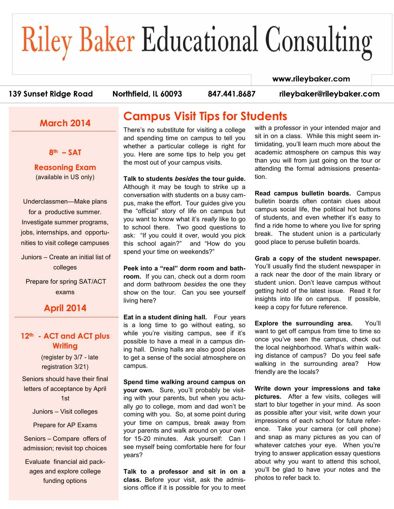# **Riley Baker Educational Consulting**

#### www.rileybaker.com

139 Sunset Ridge Road

Northfield, IL 60093

847.441.8687

rileybaker@rileybaker.com

#### **March 2014**

**8th – SAT** 

**Reasoning Exam** (available in US only)

Underclassmen—Make plans for a productive summer. Investigate summer programs, jobs, internships, and opportunities to visit college campuses

Juniors – Create an initial list of colleges

Prepare for spring SAT/ACT exams

#### **April 2014**

#### **12th - ACT and ACT plus Writing**

(register by 3/7 - late registration 3/21)

Seniors should have their final letters of acceptance by April 1st

Juniors – Visit colleges

Prepare for AP Exams

Seniors – Compare offers of admission; revisit top choices

Evaluate financial aid packages and explore college funding options

## **Campus Visit Tips for Students**

There's no substitute for visiting a college and spending time on campus to tell you whether a particular college is right for you. Here are some tips to help you get the most out of your campus visits.

**Talk to students** *besides* **the tour guide.** Although it may be tough to strike up a conversation with students on a busy campus, make the effort. Tour guides give you the "official" story of life on campus but you want to know what it's *really* like to go to school there. Two good questions to ask: "If you could it over, would you pick this school again?" and "How do you spend your time on weekends?"

**Peek into a "real" dorm room and bathroom.** If you can, check out a dorm room and dorm bathroom *besides* the one they show on the tour. Can you see yourself living here?

**Eat in a student dining hall.** Four years is a long time to go without eating, so while you're visiting campus, see if it's possible to have a meal in a campus dining hall. Dining halls are also good places to get a sense of the social atmosphere on campus.

**Spend time walking around campus on your own.** Sure, you'll probably be visiting with your parents, but when you actually *go* to college, mom and dad won't be coming with you. So, at some point during your time on campus, break away from your parents and walk around on your own for 15-20 minutes. Ask yourself: Can I see myself being comfortable here for four years?

**Talk to a professor and sit in on a class.** Before your visit, ask the admissions office if it is possible for you to meet with a professor in your intended major and sit in on a class. While this might seem intimidating, you'll learn much more about the academic atmosphere on campus this way than you will from just going on the tour or attending the formal admissions presentation.

**Read campus bulletin boards.** Campus bulletin boards often contain clues about campus social life, the political hot buttons of students, and even whether it's easy to find a ride home to where you live for spring break. The student union is a particularly good place to peruse bulletin boards.

**Grab a copy of the student newspaper.** You'll usually find the student newspaper in a rack near the door of the main library or student union. Don't leave campus without getting hold of the latest issue. Read it for insights into life on campus. If possible, keep a copy for future reference.

**Explore the surrounding area.** You'll want to get off campus from time to time so once you've seen the campus, check out the local neighborhood. What's within walking distance of campus? Do you feel safe walking in the surrounding area? How friendly are the locals?

**Write down your impressions and take pictures.** After a few visits, colleges will start to blur together in your mind. As soon as possible after your visit, write down your impressions of each school for future reference. Take your camera (or cell phone) and snap as many pictures as you can of whatever catches your eye. When you're trying to answer application essay questions about why you want to attend this school, you'll be glad to have your notes and the photos to refer back to.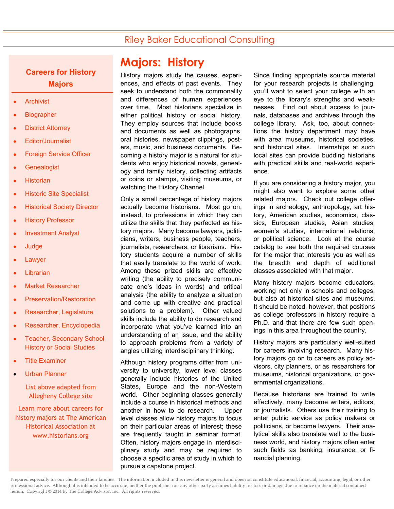#### Riley Baker Educational Consulting

#### **Careers for History Majors**

- **Archivist**
- **Biographer**
- District Attorney
- Editor/Journalist
- Foreign Service Officer
- **Genealogist**
- **Historian**
- Historic Site Specialist
- Historical Society Director
- History Professor
- Investment Analyst
- Judge
- **Lawver**
- Librarian
- Market Researcher
- Preservation/Restoration
- Researcher, Legislature
- Researcher, Encyclopedia
- Teacher, Secondary School History or Social Studies
- Title Examiner
- Urban Planner

List above adapted from Allegheny College site

Learn more about careers for history majors at The American Historical Association at [www.historians.org](http://www.historians.org/)

## **Majors: History**

History majors study the causes, experiences, and effects of past events. They seek to understand both the commonality and differences of human experiences over time. Most historians specialize in either political history or social history. They employ sources that include books and documents as well as photographs, oral histories, newspaper clippings, posters, music, and business documents. Becoming a history major is a natural for students who enjoy historical novels, genealogy and family history, collecting artifacts or coins or stamps, visiting museums, or watching the History Channel.

Only a small percentage of history majors actually become historians. Most go on, instead, to professions in which they can utilize the skills that they perfected as history majors. Many become lawyers, politicians, writers, business people, teachers, journalists, researchers, or librarians. History students acquire a number of skills that easily translate to the world of work. Among these prized skills are effective writing (the ability to precisely communicate one's ideas in words) and critical analysis (the ability to analyze a situation and come up with creative and practical solutions to a problem). Other valued skills include the ability to do research and incorporate what you've learned into an understanding of an issue, and the ability to approach problems from a variety of angles utilizing interdisciplinary thinking.

Although history programs differ from university to university, lower level classes generally include histories of the United States, Europe and the non-Western world. Other beginning classes generally include a course in historical methods and another in how to do research. Upper level classes allow history majors to focus on their particular areas of interest; these are frequently taught in seminar format. Often, history majors engage in interdisciplinary study and may be required to choose a specific area of study in which to pursue a capstone project.

Since finding appropriate source material for your research projects is challenging, you'll want to select your college with an eye to the library's strengths and weaknesses. Find out about access to journals, databases and archives through the college library. Ask, too, about connections the history department may have with area museums, historical societies, and historical sites. Internships at such local sites can provide budding historians with practical skills and real-world experience.

If you are considering a history major, you might also want to explore some other related majors. Check out college offerings in archeology, anthropology, art history, American studies, economics, classics, European studies, Asian studies, women's studies, international relations, or political science. Look at the course catalog to see both the required courses for the major that interests you as well as the breadth and depth of additional classes associated with that major.

Many history majors become educators, working not only in schools and colleges, but also at historical sites and museums. It should be noted, however, that positions as college professors in history require a Ph.D. and that there are few such openings in this area throughout the country.

History majors are particularly well-suited for careers involving research. Many history majors go on to careers as policy advisors, city planners, or as researchers for museums, historical organizations, or governmental organizations.

Because historians are trained to write effectively, many become writers, editors, or journalists. Others use their training to enter public service as policy makers or politicians, or become lawyers. Their analytical skills also translate well to the business world, and history majors often enter such fields as banking, insurance, or financial planning.

Prepared especially for our clients and their families. The information included in this newsletter is general and does not constitute educational, financial, accounting, legal, or other professional advice. Although it is intended to be accurate, neither the publisher nor any other party assumes liability for loss or damage due to reliance on the material contained herein. Copyright © 2014 by The College Advisor, Inc. All rights reserved.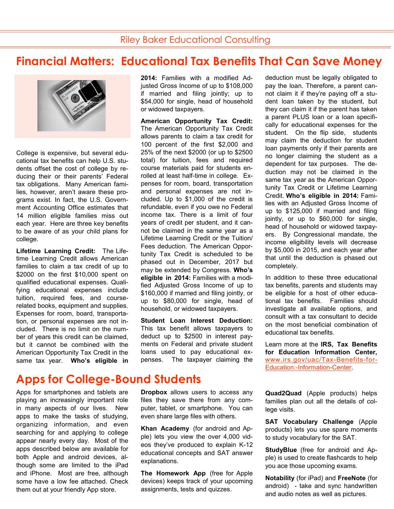## **Financial Matters: Educational Tax Benefits That Can Save Money**



College is expensive, but several educational tax benefits can help U.S. students offset the cost of college by reducing their or their parents' Federal tax obligations. Many American families, however, aren't aware these programs exist. In fact, the U.S. Government Accounting Office estimates that 14 million eligible families miss out each year. Here are three key benefits to be aware of as your child plans for college.

**Lifetime Learning Credit:** The Lifetime Learning Credit allows American families to claim a tax credit of up to \$2000 on the first \$10,000 spent on qualified educational expenses. Qualifying educational expenses include tuition, required fees, and courserelated books, equipment and supplies. Expenses for room, board, transportation, or personal expenses are not included. There is no limit on the number of years this credit can be claimed, but it cannot be combined with the American Opportunity Tax Credit in the same tax year. **Who's eligible in** 

**Apps for College-Bound Students**

Apps for smartphones and tablets are playing an increasingly important role in many aspects of our lives. New apps to make the tasks of studying, organizing information, and even searching for and applying to college appear nearly every day. Most of the apps described below are available for both Apple and android devices, although some are limited to the iPad and iPhone. Most are free, although some have a low fee attached. Check them out at your friendly App store.

**2014:** Families with a modified Adjusted Gross Income of up to \$108,000 if married and filing jointly; up to \$54,000 for single, head of household or widowed taxpayers.

**American Opportunity Tax Credit:**  The American Opportunity Tax Credit allows parents to claim a tax credit for 100 percent of the first \$2,000 and 25% of the next \$2000 (or up to \$2500 total) for tuition, fees and required course materials paid for students enrolled at least half-time in college. Expenses for room, board, transportation and personal expenses are not included. Up to \$1,000 of the credit is refundable, even if you owe no Federal income tax. There is a limit of four years of credit per student, and it cannot be claimed in the same year as a Lifetime Learning Credit or the Tuition/ Fees deduction. The American Opportunity Tax Credit is scheduled to be phased out in December, 2017 but may be extended by Congress. **Who's eligible in 2014:** Families with a modified Adjusted Gross Income of up to \$160,000 if married and filing jointly, or up to \$80,000 for single, head of household, or widowed taxpayers.

**Student Loan Interest Deduction:**  This tax benefit allows taxpayers to deduct up to \$2500 in interest payments on Federal and private student loans used to pay educational expenses. The taxpayer claiming the

**Dropbox** allows users to access any files they save there from any computer, tablet, or smartphone. You can even share large files with others.

**Khan Academy** (for android and Apple) lets you view the over 4,000 videos they've produced to explain K-12 educational concepts and SAT answer explanations.

**The Homework App** (free for Apple devices) keeps track of your upcoming assignments, tests and quizzes.

deduction must be legally obligated to pay the loan. Therefore, a parent cannot claim it if they're paying off a student loan taken by the student, but they can claim it if the parent has taken a parent PLUS loan or a loan specifically for educational expenses for the student. On the flip side, students may claim the deduction for student loan payments only if their parents are no longer claiming the student as a dependent for tax purposes. The deduction may not be claimed in the same tax year as the American Opportunity Tax Credit or Lifetime Learning Credit. **Who's eligible in 2014:** Families with an Adjusted Gross Income of up to \$125,000 if married and filing jointly, or up to \$60,000 for single, head of household or widowed taxpayers. By Congressional mandate, the income eligibility levels will decrease by \$5,000 in 2015, and each year after that until the deduction is phased out completely.

In addition to these three educational tax benefits, parents and students may be eligible for a host of other educational tax benefits. Families should investigate all available options, and consult with a tax consultant to decide on the most beneficial combination of educational tax benefits.

Learn more at the **IRS, Tax Benefits for Education Information Center,** [www.irs.gov/uac/Tax-Benefits-for-](http://www.irs.gov/uac/Tax-Benefits-for-Education:-Information-Center)[Education:-Information-Center.](http://www.irs.gov/uac/Tax-Benefits-for-Education:-Information-Center)

**Quad2Quad** (Apple products) helps families plan out all the details of college visits.

**SAT Vocabulary Challenge** (Apple products) lets you use spare moments to study vocabulary for the SAT.

**StudyBlue** (free for android and Apple) is used to create flashcards to help you ace those upcoming exams.

**Notability** (for iPad) and **FreeNote** (for android) - take and sync handwritten and audio notes as well as pictures.